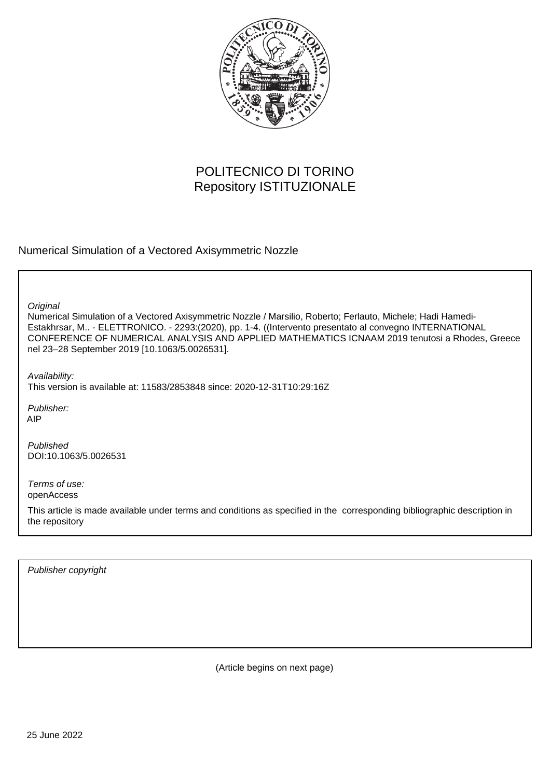

# POLITECNICO DI TORINO Repository ISTITUZIONALE

Numerical Simulation of a Vectored Axisymmetric Nozzle

**Original** 

Numerical Simulation of a Vectored Axisymmetric Nozzle / Marsilio, Roberto; Ferlauto, Michele; Hadi Hamedi-Estakhrsar, M.. - ELETTRONICO. - 2293:(2020), pp. 1-4. ((Intervento presentato al convegno INTERNATIONAL CONFERENCE OF NUMERICAL ANALYSIS AND APPLIED MATHEMATICS ICNAAM 2019 tenutosi a Rhodes, Greece nel 23–28 September 2019 [10.1063/5.0026531].

Availability: This version is available at: 11583/2853848 since: 2020-12-31T10:29:16Z

Publisher: AIP

Published DOI:10.1063/5.0026531

Terms of use: openAccess

This article is made available under terms and conditions as specified in the corresponding bibliographic description in the repository

Publisher copyright

(Article begins on next page)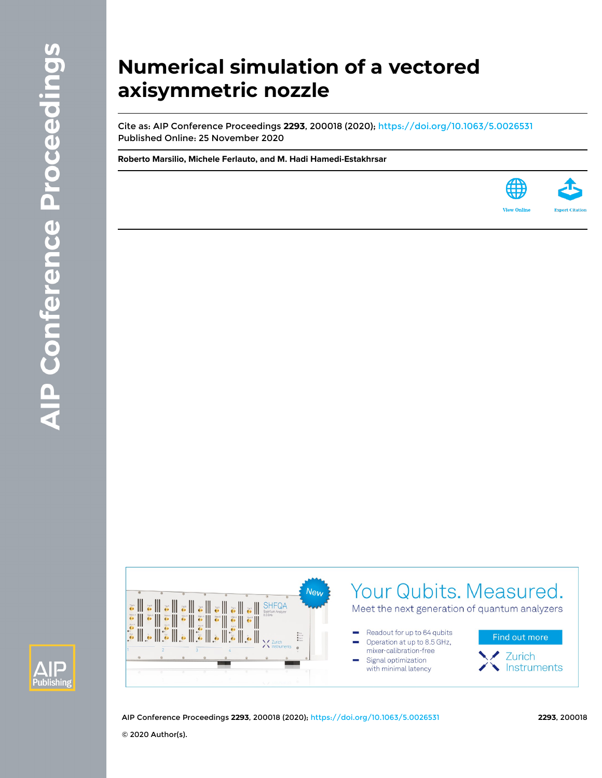# **Numerical simulation of a vectored axisymmetric nozzle**

Cite as: AIP Conference Proceedings **2293**, 200018 (2020); <https://doi.org/10.1063/5.0026531> Published Online: 25 November 2020

**[Roberto Marsilio](https://aip.scitation.org/author/Marsilio%2C+Roberto), [Michele Ferlauto,](https://aip.scitation.org/author/Ferlauto%2C+Michele) and [M. Hadi Hamedi-Estakhrsar](https://aip.scitation.org/author/Hamedi-Estakhrsar%2C+M+Hadi)**







AIP Conference Proceedings **2293**, 200018 (2020); <https://doi.org/10.1063/5.0026531> **2293**, 200018 © 2020 Author(s).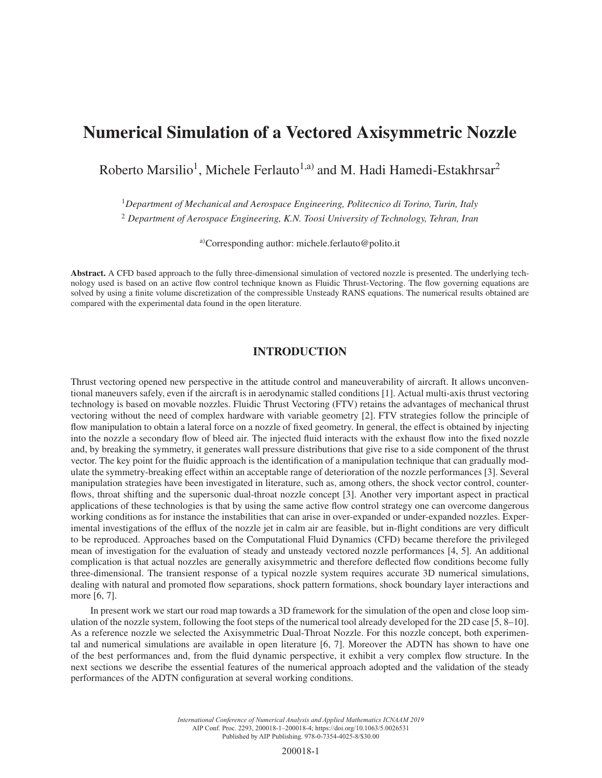# Numerical Simulation of a Vectored Axisymmetric Nozzle

Roberto Marsilio<sup>1</sup>, Michele Ferlauto<sup>1,a)</sup> and M. Hadi Hamedi-Estakhrsar<sup>2</sup>

<sup>1</sup>*Department of Mechanical and Aerospace Engineering, Politecnico di Torino, Turin, Italy*

<sup>2</sup> *Department of Aerospace Engineering, K.N. Toosi University of Technology, Tehran, Iran*

a)Corresponding author: michele.ferlauto@polito.it

Abstract. A CFD based approach to the fully three-dimensional simulation of vectored nozzle is presented. The underlying technology used is based on an active flow control technique known as Fluidic Thrust-Vectoring. The flow governing equations are solved by using a finite volume discretization of the compressible Unsteady RANS equations. The numerical results obtained are compared with the experimental data found in the open literature.

## INTRODUCTION

Thrust vectoring opened new perspective in the attitude control and maneuverability of aircraft. It allows unconventional maneuvers safely, even if the aircraft is in aerodynamic stalled conditions [1]. Actual multi-axis thrust vectoring technology is based on movable nozzles. Fluidic Thrust Vectoring (FTV) retains the advantages of mechanical thrust vectoring without the need of complex hardware with variable geometry [2]. FTV strategies follow the principle of flow manipulation to obtain a lateral force on a nozzle of fixed geometry. In general, the effect is obtained by injecting into the nozzle a secondary flow of bleed air. The injected fluid interacts with the exhaust flow into the fixed nozzle and, by breaking the symmetry, it generates wall pressure distributions that give rise to a side component of the thrust vector. The key point for the fluidic approach is the identification of a manipulation technique that can gradually modulate the symmetry-breaking effect within an acceptable range of deterioration of the nozzle performances [3]. Several manipulation strategies have been investigated in literature, such as, among others, the shock vector control, counterflows, throat shifting and the supersonic dual-throat nozzle concept [3]. Another very important aspect in practical applications of these technologies is that by using the same active flow control strategy one can overcome dangerous working conditions as for instance the instabilities that can arise in over-expanded or under-expanded nozzles. Experimental investigations of the efflux of the nozzle jet in calm air are feasible, but in-flight conditions are very difficult to be reproduced. Approaches based on the Computational Fluid Dynamics (CFD) became therefore the privileged mean of investigation for the evaluation of steady and unsteady vectored nozzle performances [4, 5]. An additional complication is that actual nozzles are generally axisymmetric and therefore deflected flow conditions become fully three-dimensional. The transient response of a typical nozzle system requires accurate 3D numerical simulations, dealing with natural and promoted flow separations, shock pattern formations, shock boundary layer interactions and more [6, 7].

In present work we start our road map towards a 3D framework for the simulation of the open and close loop simulation of the nozzle system, following the foot steps of the numerical tool already developed for the 2D case [5, 8–10]. As a reference nozzle we selected the Axisymmetric Dual-Throat Nozzle. For this nozzle concept, both experimental and numerical simulations are available in open literature [6, 7]. Moreover the ADTN has shown to have one of the best performances and, from the fluid dynamic perspective, it exhibit a very complex flow structure. In the next sections we describe the essential features of the numerical approach adopted and the validation of the steady performances of the ADTN configuration at several working conditions.

> *International Conference of Numerical Analysis and Applied Mathematics ICNAAM 2019* AIP Conf. Proc. 2293, 200018-1–200018-4; https://doi.org/10.1063/5.0026531 Published by AIP Publishing. 978-0-7354-4025-8/\$30.00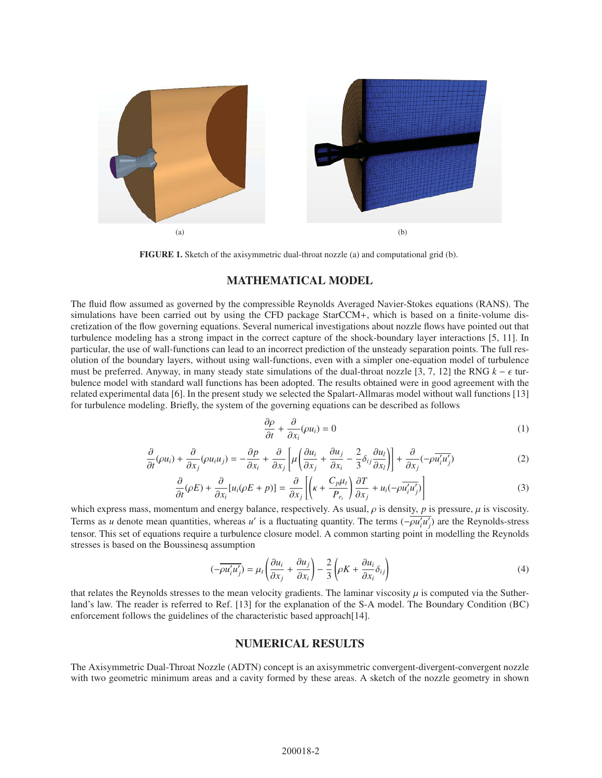

FIGURE 1. Sketch of the axisymmetric dual-throat nozzle (a) and computational grid (b).

## MATHEMATICAL MODEL

The fluid flow assumed as governed by the compressible Reynolds Averaged Navier-Stokes equations (RANS). The simulations have been carried out by using the CFD package StarCCM+, which is based on a finite-volume discretization of the flow governing equations. Several numerical investigations about nozzle flows have pointed out that turbulence modeling has a strong impact in the correct capture of the shock-boundary layer interactions [5, 11]. In particular, the use of wall-functions can lead to an incorrect prediction of the unsteady separation points. The full resolution of the boundary layers, without using wall-functions, even with a simpler one-equation model of turbulence must be preferred. Anyway, in many steady state simulations of the dual-throat nozzle [3, 7, 12] the RNG  $k - \epsilon$  turbulence model with standard wall functions has been adopted. The results obtained were in good agreement with the related experimental data [6]. In the present study we selected the Spalart-Allmaras model without wall functions [13] for turbulence modeling. Briefly, the system of the governing equations can be described as follows

$$
\frac{\partial \rho}{\partial t} + \frac{\partial}{\partial x_i}(\rho u_i) = 0 \tag{1}
$$

$$
\frac{\partial}{\partial t}(\rho u_i) + \frac{\partial}{\partial x_j}(\rho u_i u_j) = -\frac{\partial p}{\partial x_i} + \frac{\partial}{\partial x_j} \left[ \mu \left( \frac{\partial u_i}{\partial x_j} + \frac{\partial u_j}{\partial x_i} - \frac{2}{3} \delta_{ij} \frac{\partial u_l}{\partial x_l} \right) \right] + \frac{\partial}{\partial x_j} (-\rho \overline{u'_i u'_j})
$$
(2)

$$
\frac{\partial}{\partial t}(\rho E) + \frac{\partial}{\partial x_i} [u_i(\rho E + p)] = \frac{\partial}{\partial x_j} \left[ \left( \kappa + \frac{C_p \mu_t}{P_{r_i}} \right) \frac{\partial T}{\partial x_j} + u_i(-\rho \overline{u'_i u'_j}) \right]
$$
(3)

which express mass, momentum and energy balance, respectively. As usual,  $\rho$  is density,  $p$  is pressure,  $\mu$  is viscosity. Terms as *u* denote mean quantities, whereas *u*<sup>'</sup> is a fluctuating quantity. The terms  $(-\rho u'_i u'_j)$  are the Reynolds-stress tensor. This set of equations require a turbulence closure model. A common starting point in modelling the Reynolds stresses is based on the Boussinesq assumption

$$
(-\overline{\rho u_i' u_j'}) = \mu_t \left( \frac{\partial u_i}{\partial x_j} + \frac{\partial u_j}{\partial x_i} \right) - \frac{2}{3} \left( \rho K + \frac{\partial u_i}{\partial x_i} \delta_{ij} \right)
$$
(4)

that relates the Reynolds stresses to the mean velocity gradients. The laminar viscosity  $\mu$  is computed via the Sutherland's law. The reader is referred to Ref. [13] for the explanation of the S-A model. The Boundary Condition (BC) enforcement follows the guidelines of the characteristic based approach[14].

#### NUMERICAL RESULTS

The Axisymmetric Dual-Throat Nozzle (ADTN) concept is an axisymmetric convergent-divergent-convergent nozzle with two geometric minimum areas and a cavity formed by these areas. A sketch of the nozzle geometry in shown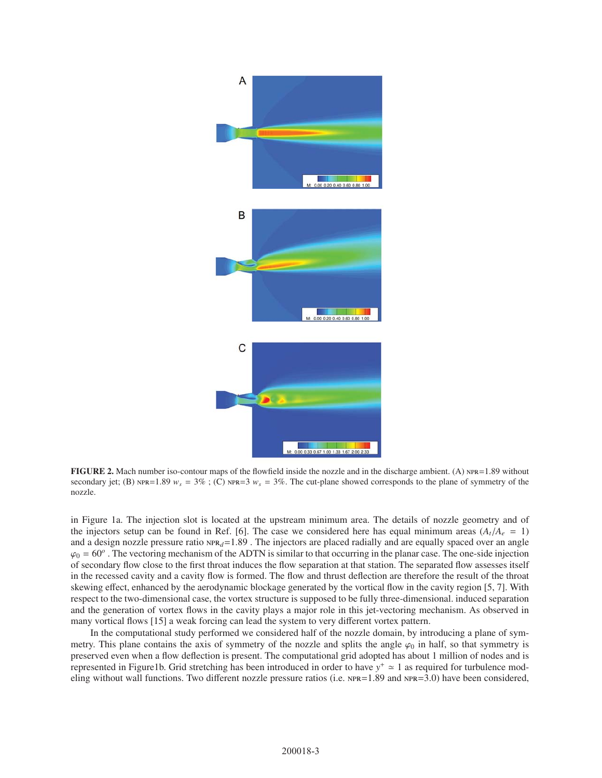

FIGURE 2. Mach number iso-contour maps of the flowfield inside the nozzle and in the discharge ambient. (A)  $NPR = 1.89$  without secondary jet; (B)  $NPR = 1.89$   $w_s = 3\%$ ; (C)  $NPR = 3$   $w_s = 3\%$ . The cut-plane showed corresponds to the plane of symmetry of the nozzle.

in Figure 1a. The injection slot is located at the upstream minimum area. The details of nozzle geometry and of the injectors setup can be found in Ref. [6]. The case we considered here has equal minimum areas  $(A_t/A_e = 1)$ and a design nozzle pressure ratio  $NPR_d=1.89$ . The injectors are placed radially and are equally spaced over an angle  $\varphi_0 = 60^\circ$ . The vectoring mechanism of the ADTN is similar to that occurring in the planar case. The one-side injection of secondary flow close to the first throat induces the flow separation at that station. The separated flow assesses itself in the recessed cavity and a cavity flow is formed. The flow and thrust deflection are therefore the result of the throat skewing effect, enhanced by the aerodynamic blockage generated by the vortical flow in the cavity region [5, 7]. With respect to the two-dimensional case, the vortex structure is supposed to be fully three-dimensional. induced separation and the generation of vortex flows in the cavity plays a major role in this jet-vectoring mechanism. As observed in many vortical flows [15] a weak forcing can lead the system to very different vortex pattern.

In the computational study performed we considered half of the nozzle domain, by introducing a plane of symmetry. This plane contains the axis of symmetry of the nozzle and splits the angle  $\varphi_0$  in half, so that symmetry is preserved even when a flow deflection is present. The computational grid adopted has about 1 million of nodes and is represented in Figure1b. Grid stretching has been introduced in order to have  $y^+ \approx 1$  as required for turbulence modeling without wall functions. Two different nozzle pressure ratios (i.e.  $NPR = 1.89$  and  $NPR = 3.0$ ) have been considered,